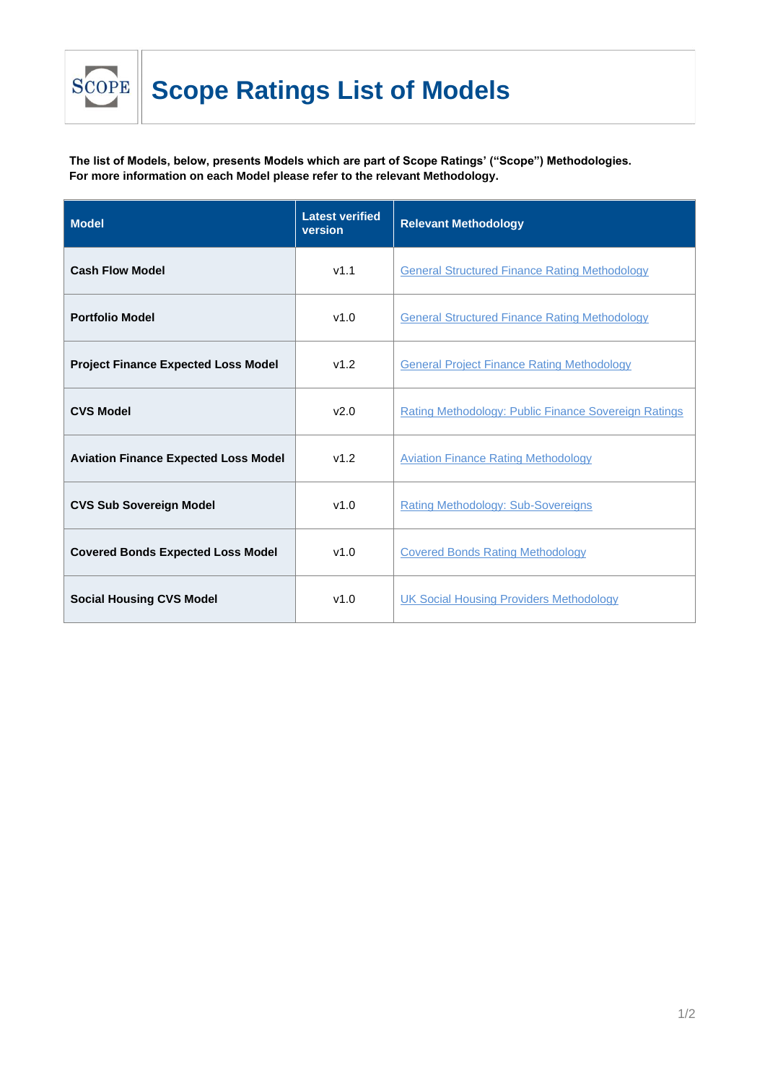

**The list of Models, below, presents Models which are part of Scope Ratings' ("Scope") Methodologies. For more information on each Model please refer to the relevant Methodology.**

| <b>Model</b>                                | <b>Latest verified</b><br>version | <b>Relevant Methodology</b>                          |
|---------------------------------------------|-----------------------------------|------------------------------------------------------|
| <b>Cash Flow Model</b>                      | v1.1                              | <b>General Structured Finance Rating Methodology</b> |
| <b>Portfolio Model</b>                      | v1.0                              | <b>General Structured Finance Rating Methodology</b> |
| <b>Project Finance Expected Loss Model</b>  | v1.2                              | <b>General Project Finance Rating Methodology</b>    |
| <b>CVS Model</b>                            | v2.0                              | Rating Methodology: Public Finance Sovereign Ratings |
| <b>Aviation Finance Expected Loss Model</b> | v1.2                              | <b>Aviation Finance Rating Methodology</b>           |
| <b>CVS Sub Sovereign Model</b>              | v1.0                              | <b>Rating Methodology: Sub-Sovereigns</b>            |
| <b>Covered Bonds Expected Loss Model</b>    | v1.0                              | <b>Covered Bonds Rating Methodology</b>              |
| <b>Social Housing CVS Model</b>             | v1.0                              | <b>UK Social Housing Providers Methodology</b>       |